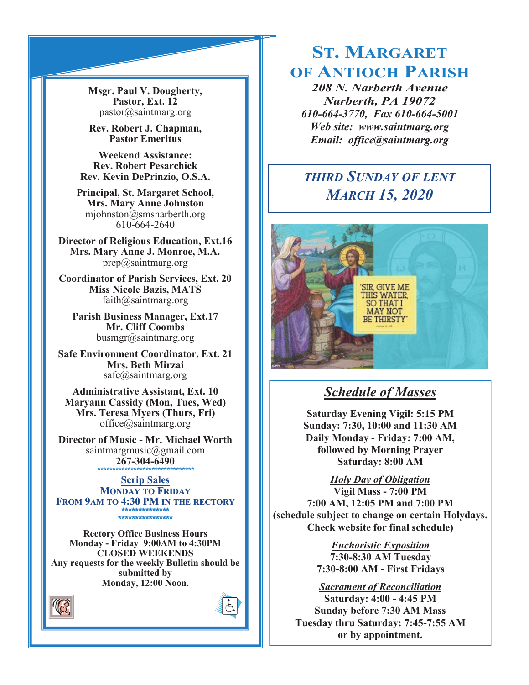**Msgr. Paul V. Dougherty, Pastor, Ext. 12** pastor@saintmarg.org

**Rev. Robert J. Chapman, Pastor Emeritus**

**Weekend Assistance: Rev. Robert Pesarchick Rev. Kevin DePrinzio, O.S.A.**

**Principal, St. Margaret School, Mrs. Mary Anne Johnston**  mjohnston@smsnarberth.org 610-664-2640

**Director of Religious Education, Ext.16 Mrs. Mary Anne J. Monroe, M.A.** prep@saintmarg.org

**Coordinator of Parish Services, Ext. 20 Miss Nicole Bazis, MATS** faith@saintmarg.org

**Parish Business Manager, Ext.17 Mr. Cliff Coombs** busmgr@saintmarg.org

**Safe Environment Coordinator, Ext. 21 Mrs. Beth Mirzai** safe@saintmarg.org

**Administrative Assistant, Ext. 10 Maryann Cassidy (Mon, Tues, Wed) Mrs. Teresa Myers (Thurs, Fri)** office@saintmarg.org

**Director of Music - Mr. Michael Worth** saintmargmusic@gmail.com **267-304-6490** *\*\*\*\*\*\*\*\*\*\*\*\*\*\*\*\*\*\*\*\*\*\*\*\*\*\*\*\*\*\*\*\**

**Scrip Sales MONDAY TO FRIDAY FROM 9AM TO 4:30 PM IN THE RECTORY \*\*\*\*\*\*\*\*\*\*\*\*\*\* \*\*\*\*\*\*\*\*\*\*\*\*\*\*\*\*** 

**Rectory Office Business Hours Monday - Friday 9:00AM to 4:30PM CLOSED WEEKENDS Any requests for the weekly Bulletin should be submitted by Monday, 12:00 Noon.** 





# **ST. MARGARET OF ANTIOCH PARISH**

*208 N. Narberth Avenue Narberth, PA 19072 610-664-3770, Fax 610-664-5001 Web site: www.saintmarg.org Email: office@saintmarg.org*

# *THIRD SUNDAY OF LENT MARCH 15, 2020*



## *Schedule of Masses*

**Saturday Evening Vigil: 5:15 PM Sunday: 7:30, 10:00 and 11:30 AM Daily Monday - Friday: 7:00 AM, followed by Morning Prayer Saturday: 8:00 AM**

*Holy Day of Obligation*

**Vigil Mass - 7:00 PM 7:00 AM, 12:05 PM and 7:00 PM (schedule subject to change on certain Holydays. Check website for final schedule)**

> *Eucharistic Exposition*  **7:30-8:30 AM Tuesday 7:30-8:00 AM - First Fridays**

*Sacrament of Reconciliation* **Saturday: 4:00 - 4:45 PM Sunday before 7:30 AM Mass Tuesday thru Saturday: 7:45-7:55 AM or by appointment.**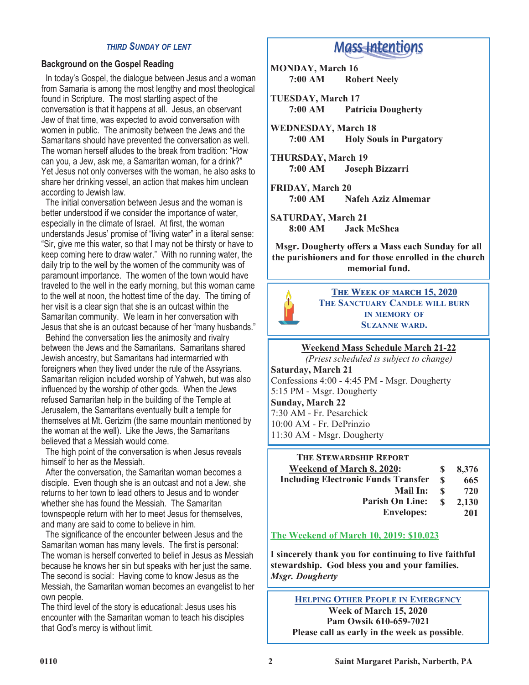#### *THIRD SUNDAY OF LENT*

## **Background on the Gospel Reading**

 In today's Gospel, the dialogue between Jesus and a woman from Samaria is among the most lengthy and most theological found in Scripture. The most startling aspect of the conversation is that it happens at all. Jesus, an observant Jew of that time, was expected to avoid conversation with women in public. The animosity between the Jews and the Samaritans should have prevented the conversation as well. The woman herself alludes to the break from tradition: "How can you, a Jew, ask me, a Samaritan woman, for a drink?" Yet Jesus not only converses with the woman, he also asks to share her drinking vessel, an action that makes him unclean according to Jewish law.

 The initial conversation between Jesus and the woman is better understood if we consider the importance of water, especially in the climate of Israel. At first, the woman understands Jesus' promise of "living water" in a literal sense: "Sir, give me this water, so that I may not be thirsty or have to keep coming here to draw water." With no running water, the daily trip to the well by the women of the community was of paramount importance. The women of the town would have traveled to the well in the early morning, but this woman came to the well at noon, the hottest time of the day. The timing of her visit is a clear sign that she is an outcast within the Samaritan community. We learn in her conversation with Jesus that she is an outcast because of her "many husbands."

 Behind the conversation lies the animosity and rivalry between the Jews and the Samaritans. Samaritans shared Jewish ancestry, but Samaritans had intermarried with foreigners when they lived under the rule of the Assyrians. Samaritan religion included worship of Yahweh, but was also influenced by the worship of other gods. When the Jews refused Samaritan help in the building of the Temple at Jerusalem, the Samaritans eventually built a temple for themselves at Mt. Gerizim (the same mountain mentioned by the woman at the well). Like the Jews, the Samaritans believed that a Messiah would come.

 The high point of the conversation is when Jesus reveals himself to her as the Messiah.

 After the conversation, the Samaritan woman becomes a disciple. Even though she is an outcast and not a Jew, she returns to her town to lead others to Jesus and to wonder whether she has found the Messiah. The Samaritan townspeople return with her to meet Jesus for themselves, and many are said to come to believe in him.

The significance of the encounter between Jesus and the Samaritan woman has many levels. The first is personal: The woman is herself converted to belief in Jesus as Messiah because he knows her sin but speaks with her just the same. The second is social: Having come to know Jesus as the Messiah, the Samaritan woman becomes an evangelist to her own people.

The third level of the story is educational: Jesus uses his encounter with the Samaritan woman to teach his disciples that God's mercy is without limit.

## **Mass Intentions**

**MONDAY, March 16 7:00 AM Robert Neely**

**TUESDAY, March 17 7:00 AM Patricia Dougherty**

**WEDNESDAY, March 18 Holy Souls in Purgatory** 

**THURSDAY, March 19 7:00 AM Joseph Bizzarri**

**FRIDAY, March 20 7:00 AM Nafeh Aziz Almemar**

**SATURDAY, March 21 8:00 AM Jack McShea**

**Msgr. Dougherty offers a Mass each Sunday for all the parishioners and for those enrolled in the church memorial fund.**



**THE WEEK OF MARCH 15, 2020 THE SANCTUARY CANDLE WILL BURN IN MEMORY OF SUZANNE WARD.**

**Weekend Mass Schedule March 21-22**

*(Priest scheduled is subject to change)*

**Saturday, March 21** Confessions 4:00 - 4:45 PM - Msgr. Dougherty 5:15 PM - Msgr. Dougherty **Sunday, March 22** 7:30 AM - Fr. Pesarchick 10:00 AM - Fr. DePrinzio 11:30 AM - Msgr. Dougherty

| <b>THE STEWARDSHIP REPORT</b>              |    |       |
|--------------------------------------------|----|-------|
| <b>Weekend of March 8, 2020:</b>           | S  | 8,376 |
| <b>Including Electronic Funds Transfer</b> | S  | 665   |
| <b>Mail In:</b>                            | \$ | 720   |
| <b>Parish On Line:</b>                     | \$ | 2,130 |
| <b>Envelopes:</b>                          |    | 201   |

## **The Weekend of March 10, 2019: \$10,023**

**I sincerely thank you for continuing to live faithful stewardship. God bless you and your families.** *Msgr. Dougherty*

**HELPING OTHER PEOPLE IN EMERGENCY Week of March 15, 2020 Pam Owsik 610-659-7021 Please call as early in the week as possible**.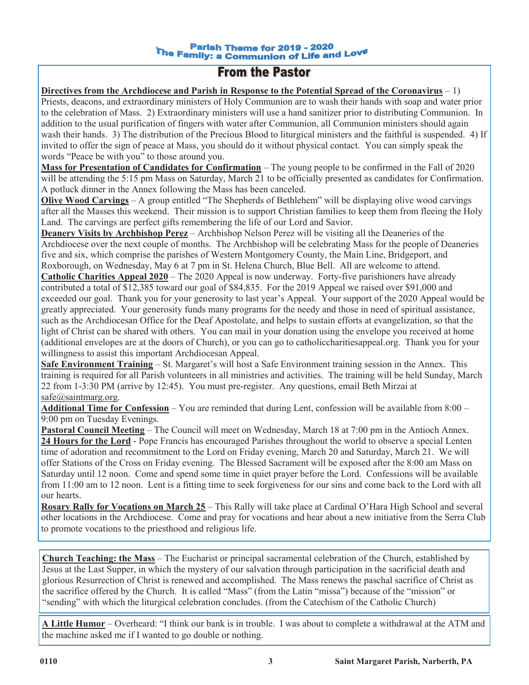#### **Parish Theme for 2019 - 2020** The Family: a Communion of Life and Love

## **From the Pastor**

**Directives from the Archdiocese and Parish in Response to the Potential Spread of the Coronavirus** – 1)

Priests, deacons, and extraordinary ministers of Holy Communion are to wash their hands with soap and water prior to the celebration of Mass. 2) Extraordinary ministers will use a hand sanitizer prior to distributing Communion. In addition to the usual purification of fingers with water after Communion, all Communion ministers should again wash their hands. 3) The distribution of the Precious Blood to liturgical ministers and the faithful is suspended. 4) If invited to offer the sign of peace at Mass, you should do it without physical contact. You can simply speak the words "Peace be with you" to those around you.

**Mass for Presentation of Candidates for Confirmation** – The young people to be confirmed in the Fall of 2020 will be attending the 5:15 pm Mass on Saturday, March 21 to be officially presented as candidates for Confirmation. A potluck dinner in the Annex following the Mass has been canceled.

**Olive Wood Carvings** – A group entitled "The Shepherds of Bethlehem" will be displaying olive wood carvings after all the Masses this weekend. Their mission is to support Christian families to keep them from fleeing the Holy Land. The carvings are perfect gifts remembering the life of our Lord and Savior.

**Deanery Visits by Archbishop Perez** – Archbishop Nelson Perez will be visiting all the Deaneries of the Archdiocese over the next couple of months. The Archbishop will be celebrating Mass for the people of Deaneries five and six, which comprise the parishes of Western Montgomery County, the Main Line, Bridgeport, and Roxborough, on Wednesday, May 6 at 7 pm in St. Helena Church, Blue Bell. All are welcome to attend. **Catholic Charities Appeal 2020** – The 2020 Appeal is now underway. Forty-five parishioners have already contributed a total of \$12,385 toward our goal of \$84,835. For the 2019 Appeal we raised over \$91,000 and exceeded our goal. Thank you for your generosity to last year's Appeal. Your support of the 2020 Appeal would be greatly appreciated. Your generosity funds many programs for the needy and those in need of spiritual assistance, such as the Archdiocesan Office for the Deaf Apostolate, and helps to sustain efforts at evangelization, so that the light of Christ can be shared with others. You can mail in your donation using the envelope you received at home (additional envelopes are at the doors of Church), or you can go to catholiccharitiesappeal.org. Thank you for your willingness to assist this important Archdiocesan Appeal.

**Safe Environment Training** – St. Margaret's will host a Safe Environment training session in the Annex. This training is required for all Parish volunteers in all ministries and activities. The training will be held Sunday, March 22 from 1-3:30 PM (arrive by 12:45). You must pre-register. Any questions, email Beth Mirzai at safe@saintmarg.org.

**Additional Time for Confession** – You are reminded that during Lent, confession will be available from 8:00 – 9:00 pm on Tuesday Evenings.

**Pastoral Council Meeting** – The Council will meet on Wednesday, March 18 at 7:00 pm in the Antioch Annex. **24 Hours for the Lord** - Pope Francis has encouraged Parishes throughout the world to observe a special Lenten time of adoration and recommitment to the Lord on Friday evening, March 20 and Saturday, March 21. We will offer Stations of the Cross on Friday evening. The Blessed Sacrament will be exposed after the 8:00 am Mass on Saturday until 12 noon. Come and spend some time in quiet prayer before the Lord. Confessions will be available from 11:00 am to 12 noon. Lent is a fitting time to seek forgiveness for our sins and come back to the Lord with all our hearts.

**Rosary Rally for Vocations on March 25** – This Rally will take place at Cardinal O'Hara High School and several other locations in the Archdiocese. Come and pray for vocations and hear about a new initiative from the Serra Club to promote vocations to the priesthood and religious life.

**Church Teaching: the Mass** – The Eucharist or principal sacramental celebration of the Church, established by Jesus at the Last Supper, in which the mystery of our salvation through participation in the sacrificial death and glorious Resurrection of Christ is renewed and accomplished. The Mass renews the paschal sacrifice of Christ as the sacrifice offered by the Church. It is called "Mass" (from the Latin "missa") because of the "mission" or "sending" with which the liturgical celebration concludes. (from the Catechism of the Catholic Church)

**A Little Humor** – Overheard: "I think our bank is in trouble. I was about to complete a withdrawal at the ATM and the machine asked me if I wanted to go double or nothing.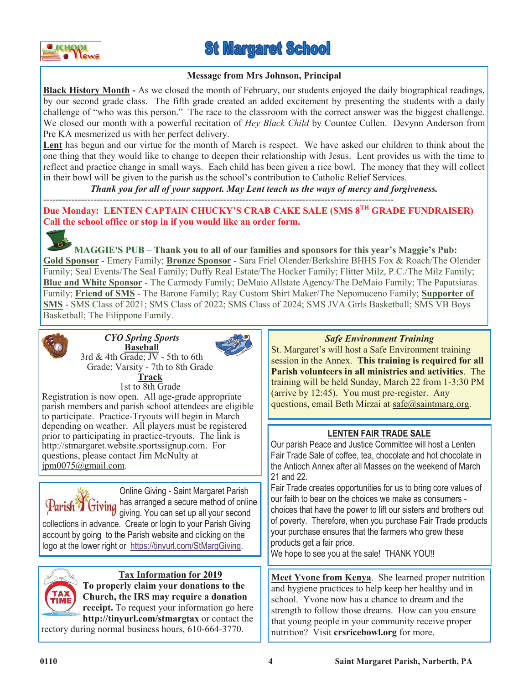

**St Margaret School** 

### **Message from Mrs Johnson, Principal**

**Black History Month -** As we closed the month of February, our students enjoyed the daily biographical readings, by our second grade class. The fifth grade created an added excitement by presenting the students with a daily challenge of "who was this person." The race to the classroom with the correct answer was the biggest challenge. We closed our month with a powerful recitation of *Hey Black Child* by Countee Cullen. Devynn Anderson from Pre KA mesmerized us with her perfect delivery.

**Lent** has begun and our virtue for the month of March is respect. We have asked our children to think about the one thing that they would like to change to deepen their relationship with Jesus. Lent provides us with the time to reflect and practice change in small ways. Each child has been given a rice bowl. The money that they will collect in their bowl will be given to the parish as the school's contribution to Catholic Relief Services.

*Thank you for all of your support. May Lent teach us the ways of mercy and forgiveness.*

--------------------------------------------------------------------------------------------------------------- **Due Monday: LENTEN CAPTAIN CHUCKY'S CRAB CAKE SALE (SMS 8TH GRADE FUNDRAISER) Call the school office or stop in if you would like an order form.** 



**MAGGIE'S PUB – Thank you to all of our families and sponsors for this year's Maggie's Pub: Gold Sponsor** - Emery Family; **Bronze Sponsor** - Sara Friel Olender/Berkshire BHHS Fox & Roach/The Olender Family; Seal Events/The Seal Family; Duffy Real Estate/The Hocker Family; Flitter Milz, P.C./The Milz Family; **Blue and White Sponsor** - The Carmody Family; DeMaio Allstate Agency/The DeMaio Family; The Papatsiaras Family; **Friend of SMS** - The Barone Family; Ray Custom Shirt Maker/The Nepomuceno Family; **Supporter of SMS** - SMS Class of 2021; SMS Class of 2022; SMS Class of 2024; SMS JVA Girls Basketball; SMS VB Boys Basketball; The Filippone Family.



*CYO Spring Sports* **Baseball**

3rd  $&$  4th Grade;  $\overline{JV}$  - 5th to 6th Grade; Varsity - 7th to 8th Grade



**Track** 1st to 8th Grade Registration is now open. All age-grade appropriate parish members and parish school attendees are eligible to participate. Practice-Tryouts will begin in March depending on weather. All players must be registered prior to participating in practice-tryouts. The link is http://stmargaret.website.sportssignup.com. For questions, please contact Jim McNulty at  $\overline{p}$ m $\overline{0075}$ @gmail.com.



Online Giving - Saint Margaret Parish Parish<sup>3</sup> Giving has arranged a secure method of online giving. You can set up all your second

collections in advance. Create or login to your Parish Giving account by going to the Parish website and clicking on the logo at the lower right or [https://tinyurl.com/StMargGiving.](https://tinyurl.com/StMargGiving)



## **Tax Information for 2019**

**To properly claim your donations to the Church, the IRS may require a donation receipt.** To request your information go here **http://tinyurl.com/stmargtax** or contact the

rectory during normal business hours, 610-664-3770.

## *Safe Environment Training*

St. Margaret's will host a Safe Environment training session in the Annex. **This training is required for all Parish volunteers in all ministries and activities**. The training will be held Sunday, March 22 from 1-3:30 PM (arrive by 12:45). You must pre-register. Any questions, email Beth Mirzai at safe@saintmarg.org.

## **LENTEN FAIR TRADE SALE**

Our parish Peace and Justice Committee will host a Lenten Fair Trade Sale of coffee, tea, chocolate and hot chocolate in the Antioch Annex after all Masses on the weekend of March 21 and 22.

Fair Trade creates opportunities for us to bring core values of our faith to bear on the choices we make as consumers choices that have the power to lift our sisters and brothers out of poverty. Therefore, when you purchase Fair Trade products your purchase ensures that the farmers who grew these products get a fair price.

We hope to see you at the sale! THANK YOU!!

**Meet Yvone from Kenya**. She learned proper nutrition and hygiene practices to help keep her healthy and in school. Yvone now has a chance to dream and the strength to follow those dreams. How can you ensure that young people in your community receive proper nutrition? Visit **crsricebowl.org** for more.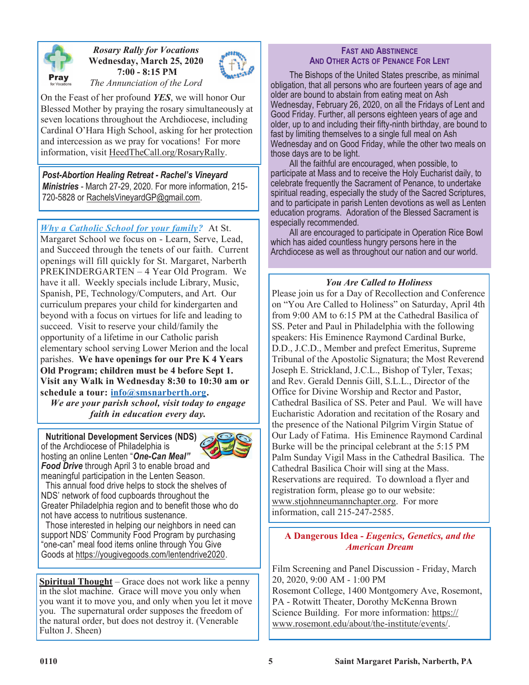

## *Rosary Rally for Vocations* **Wednesday, March 25, 2020 7:00 - 8:15 PM**



*The Annunciation of the Lord*

On the Feast of her profound *YES*, we will honor Our Blessed Mother by praying the rosary simultaneously at seven locations throughout the Archdiocese, including Cardinal O'Hara High School, asking for her protection and intercession as we pray for vocations! For more information, visit HeedTheCall.org/RosaryRally.

*Post-Abortion Healing Retreat - Rachel's Vineyard Ministries* - March 27-29, 2020. For more information, 215- 720-5828 or RachelsVineyardGP@gmail.com.

*Why a Catholic School for your family?* At St. Margaret School we focus on - Learn, Serve, Lead, and Succeed through the tenets of our faith. Current openings will fill quickly for St. Margaret, Narberth PREKINDERGARTEN – 4 Year Old Program. We have it all. Weekly specials include Library, Music, Spanish, PE, Technology/Computers, and Art. Our curriculum prepares your child for kindergarten and beyond with a focus on virtues for life and leading to succeed. Visit to reserve your child/family the opportunity of a lifetime in our Catholic parish elementary school serving Lower Merion and the local parishes. **We have openings for our Pre K 4 Years Old Program; children must be 4 before Sept 1. Visit any Walk in Wednesday 8:30 to 10:30 am or schedule a tour: [info@smsnarberth.org.](mailto:info@smsnarberth.org)**

*We are your parish school, visit today to engage faith in education every day.*

 **Nutritional Development Services (NDS)**  of the Archdiocese of Philadelphia is hosting an online Lenten "*One-Can Meal" Food Drive* through April 3 to enable broad and



meaningful participation in the Lenten Season. This annual food drive helps to stock the shelves of NDS' network of food cupboards throughout the Greater Philadelphia region and to benefit those who do not have access to nutritious sustenance.

 Those interested in helping our neighbors in need can support NDS' Community Food Program by purchasing "one-can" meal food items online through You Give Goods at https://yougivegoods.com/lentendrive2020.

**Spiritual Thought** – Grace does not work like a penny in the slot machine. Grace will move you only when you want it to move you, and only when you let it move you. The supernatural order supposes the freedom of the natural order, but does not destroy it. (Venerable Fulton J. Sheen)

### **FAST AND ABSTINENCE AND OTHER ACTS OF PENANCE FOR LENT**

The Bishops of the United States prescribe, as minimal obligation, that all persons who are fourteen years of age and older are bound to abstain from eating meat on Ash Wednesday, February 26, 2020, on all the Fridays of Lent and Good Friday. Further, all persons eighteen years of age and older, up to and including their fifty-ninth birthday, are bound to fast by limiting themselves to a single full meal on Ash Wednesday and on Good Friday, while the other two meals on those days are to be light.

All the faithful are encouraged, when possible, to participate at Mass and to receive the Holy Eucharist daily, to celebrate frequently the Sacrament of Penance, to undertake spiritual reading, especially the study of the Sacred Scriptures, and to participate in parish Lenten devotions as well as Lenten education programs. Adoration of the Blessed Sacrament is especially recommended.

All are encouraged to participate in Operation Rice Bowl which has aided countless hungry persons here in the Archdiocese as well as throughout our nation and our world.

## *You Are Called to Holiness*

Please join us for a Day of Recollection and Conference on "You Are Called to Holiness" on Saturday, April 4th from 9:00 AM to 6:15 PM at the Cathedral Basilica of SS. Peter and Paul in Philadelphia with the following speakers: His Eminence Raymond Cardinal Burke, D.D., J.C.D., Member and prefect Emeritus, Supreme Tribunal of the Apostolic Signatura; the Most Reverend Joseph E. Strickland, J.C.L., Bishop of Tyler, Texas; and Rev. Gerald Dennis Gill, S.L.L., Director of the Office for Divine Worship and Rector and Pastor, Cathedral Basilica of SS. Peter and Paul. We will have Eucharistic Adoration and recitation of the Rosary and the presence of the National Pilgrim Virgin Statue of Our Lady of Fatima. His Eminence Raymond Cardinal Burke will be the principal celebrant at the 5:15 PM Palm Sunday Vigil Mass in the Cathedral Basilica. The Cathedral Basilica Choir will sing at the Mass. Reservations are required. To download a flyer and registration form, please go to our website: www.stjohnneumannchapter.org. For more information, call 215-247-2585.

## **A Dangerous Idea -** *Eugenics, Genetics, and the American Dream*

Film Screening and Panel Discussion - Friday, March 20, 2020, 9:00 AM - 1:00 PM Rosemont College, 1400 Montgomery Ave, Rosemont, PA - Rotwitt Theater, Dorothy McKenna Brown Science Building. For more information: https:// www.rosemont.edu/about/the-institute/events/.